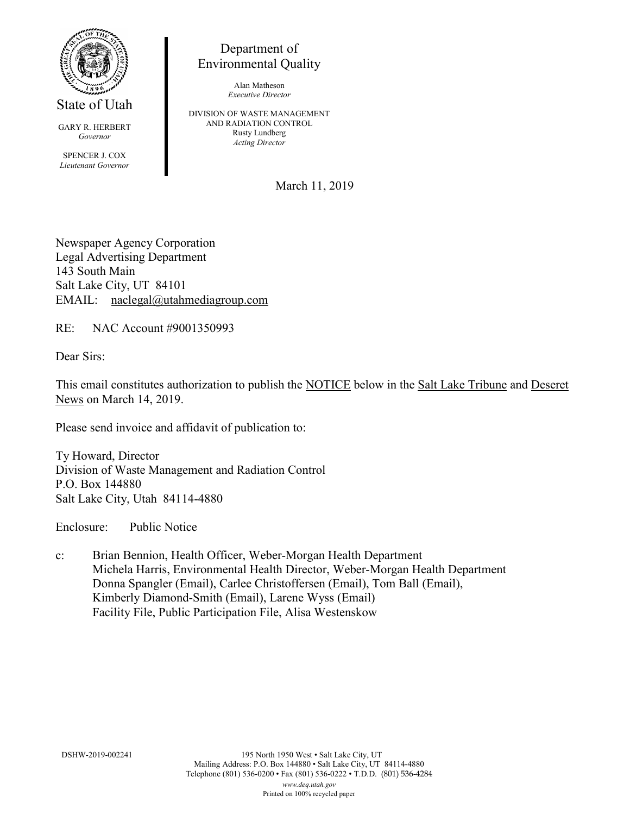

State of Utah

GARY R. HERBERT *Governor* SPENCER J. COX *Lieutenant Governor*

Department of Environmental Quality

> Alan Matheson *Executive Director*

DIVISION OF WASTE MANAGEMENT AND RADIATION CONTROL Rusty Lundberg *Acting Director*

March 11, 2019

Newspaper Agency Corporation Legal Advertising Department 143 South Main Salt Lake City, UT 84101 EMAIL: naclegal@utahmediagroup.com

RE: NAC Account #9001350993

Dear Sirs:

This email constitutes authorization to publish the NOTICE below in the Salt Lake Tribune and Deseret News on March 14, 2019.

Please send invoice and affidavit of publication to:

Ty Howard, Director Division of Waste Management and Radiation Control P.O. Box 144880 Salt Lake City, Utah 84114-4880

Enclosure: Public Notice

c: Brian Bennion, Health Officer, Weber-Morgan Health Department Michela Harris, Environmental Health Director, Weber-Morgan Health Department Donna Spangler (Email), Carlee Christoffersen (Email), Tom Ball (Email), Kimberly Diamond-Smith (Email), Larene Wyss (Email) Facility File, Public Participation File, Alisa Westenskow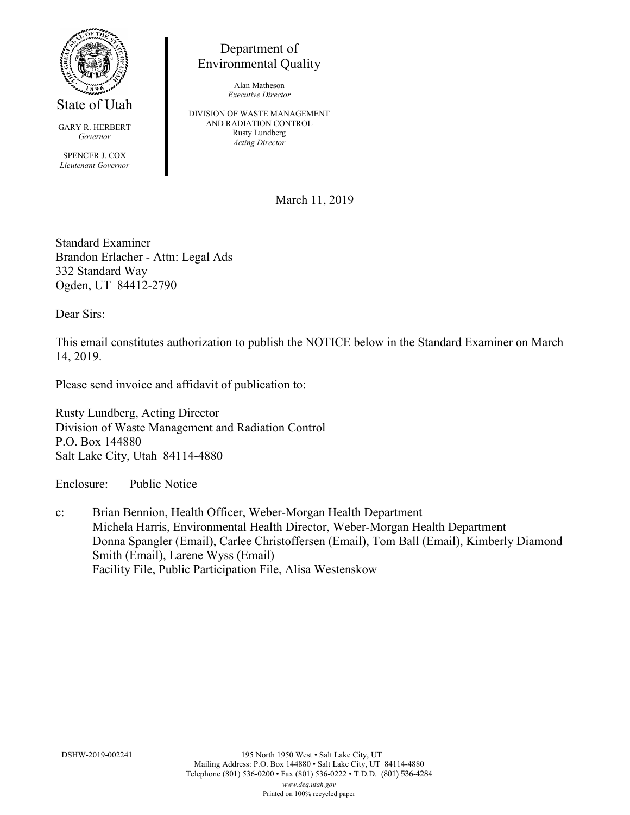

State of Utah

GARY R. HERBERT *Governor* SPENCER J. COX *Lieutenant Governor*

Department of Environmental Quality

> Alan Matheson *Executive Director*

DIVISION OF WASTE MANAGEMENT AND RADIATION CONTROL Rusty Lundberg *Acting Director*

March 11, 2019

Standard Examiner Brandon Erlacher - Attn: Legal Ads 332 Standard Way Ogden, UT 84412-2790

Dear Sirs:

This email constitutes authorization to publish the NOTICE below in the Standard Examiner on March 14, 2019.

Please send invoice and affidavit of publication to:

Rusty Lundberg, Acting Director Division of Waste Management and Radiation Control P.O. Box 144880 Salt Lake City, Utah 84114-4880

Enclosure: Public Notice

c: Brian Bennion, Health Officer, Weber-Morgan Health Department Michela Harris, Environmental Health Director, Weber-Morgan Health Department Donna Spangler (Email), Carlee Christoffersen (Email), Tom Ball (Email), Kimberly Diamond Smith (Email), Larene Wyss (Email) Facility File, Public Participation File, Alisa Westenskow